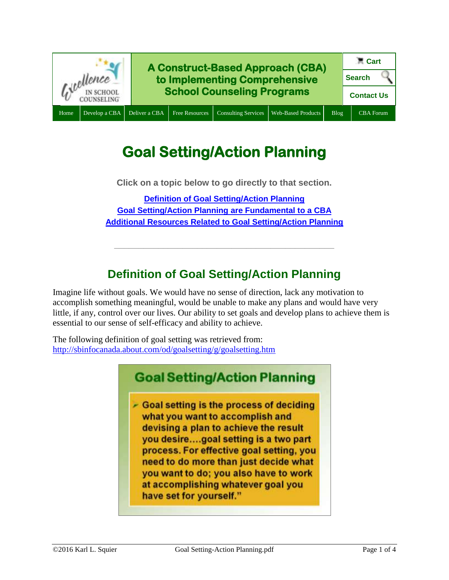

# **Goal Setting/Action Planning**

**Click on a topic below to go directly to that section.**

**[Definition of Goal Setting/Action Planning](#page-0-0) [Goal Setting/Action Planning](#page-1-0) are Fundamental to a CBA [Additional Resources Related to Goal Setting/Action Planning](#page-1-1)**

## **Definition of Goal Setting/Action Planning**

**\_\_\_\_\_\_\_\_\_\_\_\_\_\_\_\_\_\_\_\_\_\_\_\_\_\_\_\_\_\_\_\_\_\_\_\_\_\_\_\_\_\_\_\_\_**

<span id="page-0-0"></span>Imagine life without goals. We would have no sense of direction, lack any motivation to accomplish something meaningful, would be unable to make any plans and would have very little, if any, control over our lives. Our ability to set goals and develop plans to achieve them is essential to our sense of self-efficacy and ability to achieve.

The following definition of goal setting was retrieved from: <http://sbinfocanada.about.com/od/goalsetting/g/goalsetting.htm>

## **Goal Setting/Action Planning**

 $\sim$  Goal setting is the process of deciding what you want to accomplish and devising a plan to achieve the result you desire....goal setting is a two part process. For effective goal setting, you need to do more than just decide what you want to do; you also have to work at accomplishing whatever goal you have set for yourself."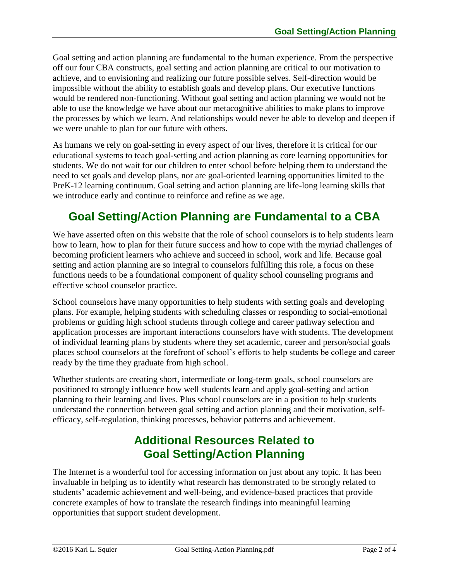Goal setting and action planning are fundamental to the human experience. From the perspective off our four CBA constructs, goal setting and action planning are critical to our motivation to achieve, and to envisioning and realizing our future possible selves. Self-direction would be impossible without the ability to establish goals and develop plans. Our executive functions would be rendered non-functioning. Without goal setting and action planning we would not be able to use the knowledge we have about our metacognitive abilities to make plans to improve the processes by which we learn. And relationships would never be able to develop and deepen if we were unable to plan for our future with others.

As humans we rely on goal-setting in every aspect of our lives, therefore it is critical for our educational systems to teach goal-setting and action planning as core learning opportunities for students. We do not wait for our children to enter school before helping them to understand the need to set goals and develop plans, nor are goal-oriented learning opportunities limited to the PreK-12 learning continuum. Goal setting and action planning are life-long learning skills that we introduce early and continue to reinforce and refine as we age.

### <span id="page-1-0"></span>**Goal Setting/Action Planning are Fundamental to a CBA**

We have asserted often on this website that the role of school counselors is to help students learn how to learn, how to plan for their future success and how to cope with the myriad challenges of becoming proficient learners who achieve and succeed in school, work and life. Because goal setting and action planning are so integral to counselors fulfilling this role, a focus on these functions needs to be a foundational component of quality school counseling programs and effective school counselor practice.

School counselors have many opportunities to help students with setting goals and developing plans. For example, helping students with scheduling classes or responding to social-emotional problems or guiding high school students through college and career pathway selection and application processes are important interactions counselors have with students. The development of individual learning plans by students where they set academic, career and person/social goals places school counselors at the forefront of school's efforts to help students be college and career ready by the time they graduate from high school.

Whether students are creating short, intermediate or long-term goals, school counselors are positioned to strongly influence how well students learn and apply goal-setting and action planning to their learning and lives. Plus school counselors are in a position to help students understand the connection between goal setting and action planning and their motivation, selfefficacy, self-regulation, thinking processes, behavior patterns and achievement.

### **Additional Resources Related to Goal Setting/Action Planning**

<span id="page-1-1"></span>The Internet is a wonderful tool for accessing information on just about any topic. It has been invaluable in helping us to identify what research has demonstrated to be strongly related to students' academic achievement and well-being, and evidence-based practices that provide concrete examples of how to translate the research findings into meaningful learning opportunities that support student development.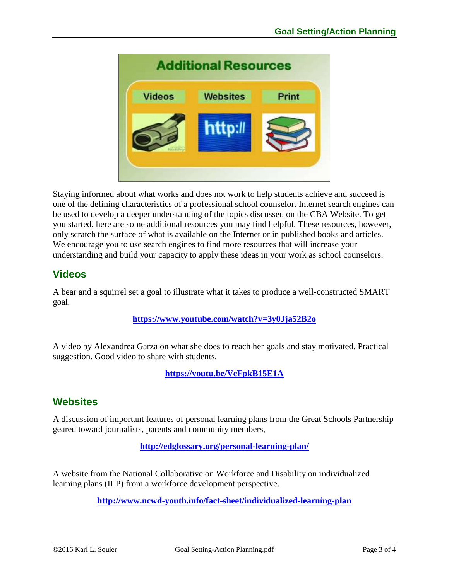

Staying informed about what works and does not work to help students achieve and succeed is one of the defining characteristics of a professional school counselor. Internet search engines can be used to develop a deeper understanding of the topics discussed on the CBA Website. To get you started, here are some additional resources you may find helpful. These resources, however, only scratch the surface of what is available on the Internet or in published books and articles. We encourage you to use search engines to find more resources that will increase your understanding and build your capacity to apply these ideas in your work as school counselors.

#### **Videos**

A bear and a squirrel set a goal to illustrate what it takes to produce a well-constructed SMART goal.

#### **<https://www.youtube.com/watch?v=3y0Jja52B2o>**

A video by Alexandrea Garza on what she does to reach her goals and stay motivated. Practical suggestion. Good video to share with students.

**<https://youtu.be/VcFpkB15E1A>**

#### **Websites**

A discussion of important features of personal learning plans from the Great Schools Partnership geared toward journalists, parents and community members,

**<http://edglossary.org/personal-learning-plan/>**

A website from the National Collaborative on Workforce and Disability on individualized learning plans (ILP) from a workforce development perspective.

**<http://www.ncwd-youth.info/fact-sheet/individualized-learning-plan>**